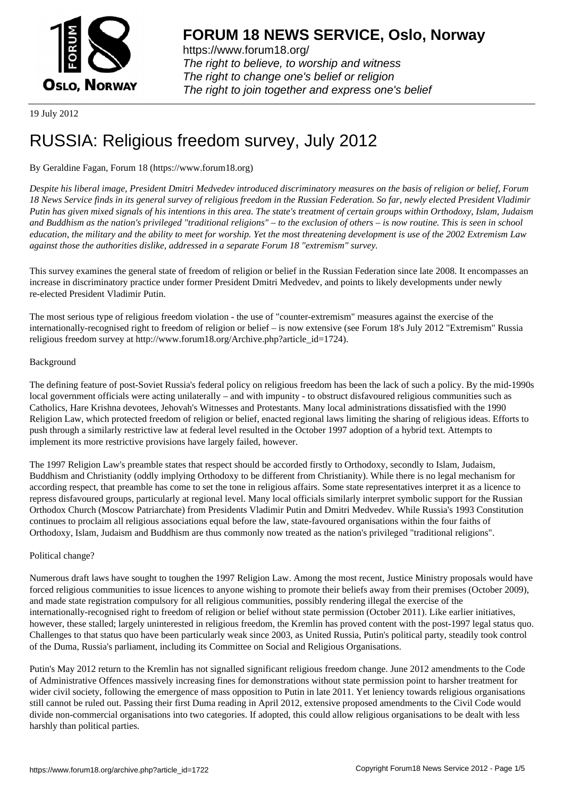

https://www.forum18.org/ The right to believe, to worship and witness The right to change one's belief or religion [The right to join together a](https://www.forum18.org/)nd express one's belief

19 July 2012

# [RUSSIA: Religi](https://www.forum18.org)ous freedom survey, July 2012

# By Geraldine Fagan, Forum 18 (https://www.forum18.org)

*Despite his liberal image, President Dmitri Medvedev introduced discriminatory measures on the basis of religion or belief, Forum 18 News Service finds in its general survey of religious freedom in the Russian Federation. So far, newly elected President Vladimir Putin has given mixed signals of his intentions in this area. The state's treatment of certain groups within Orthodoxy, Islam, Judaism and Buddhism as the nation's privileged "traditional religions" – to the exclusion of others – is now routine. This is seen in school education, the military and the ability to meet for worship. Yet the most threatening development is use of the 2002 Extremism Law against those the authorities dislike, addressed in a separate Forum 18 "extremism" survey.*

This survey examines the general state of freedom of religion or belief in the Russian Federation since late 2008. It encompasses an increase in discriminatory practice under former President Dmitri Medvedev, and points to likely developments under newly re-elected President Vladimir Putin.

The most serious type of religious freedom violation - the use of "counter-extremism" measures against the exercise of the internationally-recognised right to freedom of religion or belief – is now extensive (see Forum 18's July 2012 "Extremism" Russia religious freedom survey at http://www.forum18.org/Archive.php?article\_id=1724).

## Background

The defining feature of post-Soviet Russia's federal policy on religious freedom has been the lack of such a policy. By the mid-1990s local government officials were acting unilaterally – and with impunity - to obstruct disfavoured religious communities such as Catholics, Hare Krishna devotees, Jehovah's Witnesses and Protestants. Many local administrations dissatisfied with the 1990 Religion Law, which protected freedom of religion or belief, enacted regional laws limiting the sharing of religious ideas. Efforts to push through a similarly restrictive law at federal level resulted in the October 1997 adoption of a hybrid text. Attempts to implement its more restrictive provisions have largely failed, however.

The 1997 Religion Law's preamble states that respect should be accorded firstly to Orthodoxy, secondly to Islam, Judaism, Buddhism and Christianity (oddly implying Orthodoxy to be different from Christianity). While there is no legal mechanism for according respect, that preamble has come to set the tone in religious affairs. Some state representatives interpret it as a licence to repress disfavoured groups, particularly at regional level. Many local officials similarly interpret symbolic support for the Russian Orthodox Church (Moscow Patriarchate) from Presidents Vladimir Putin and Dmitri Medvedev. While Russia's 1993 Constitution continues to proclaim all religious associations equal before the law, state-favoured organisations within the four faiths of Orthodoxy, Islam, Judaism and Buddhism are thus commonly now treated as the nation's privileged "traditional religions".

# Political change?

Numerous draft laws have sought to toughen the 1997 Religion Law. Among the most recent, Justice Ministry proposals would have forced religious communities to issue licences to anyone wishing to promote their beliefs away from their premises (October 2009), and made state registration compulsory for all religious communities, possibly rendering illegal the exercise of the internationally-recognised right to freedom of religion or belief without state permission (October 2011). Like earlier initiatives, however, these stalled; largely uninterested in religious freedom, the Kremlin has proved content with the post-1997 legal status quo. Challenges to that status quo have been particularly weak since 2003, as United Russia, Putin's political party, steadily took control of the Duma, Russia's parliament, including its Committee on Social and Religious Organisations.

Putin's May 2012 return to the Kremlin has not signalled significant religious freedom change. June 2012 amendments to the Code of Administrative Offences massively increasing fines for demonstrations without state permission point to harsher treatment for wider civil society, following the emergence of mass opposition to Putin in late 2011. Yet leniency towards religious organisations still cannot be ruled out. Passing their first Duma reading in April 2012, extensive proposed amendments to the Civil Code would divide non-commercial organisations into two categories. If adopted, this could allow religious organisations to be dealt with less harshly than political parties.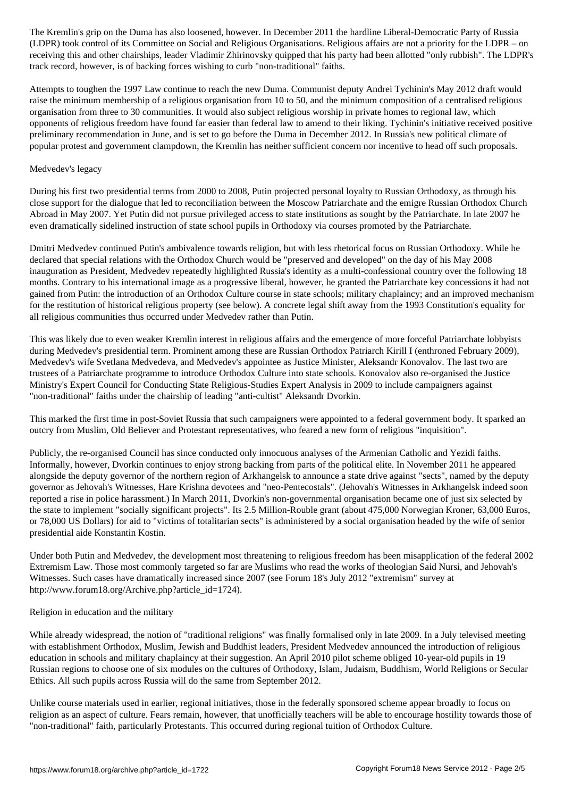$\Box$ receiving this and other chairships, leader Vladimir Zhirinovsky quipped that his party had been allotted "only rubbish". The LDPR's track record, however, is of backing forces wishing to curb "non-traditional" faiths.

Attempts to toughen the 1997 Law continue to reach the new Duma. Communist deputy Andrei Tychinin's May 2012 draft would raise the minimum membership of a religious organisation from 10 to 50, and the minimum composition of a centralised religious organisation from three to 30 communities. It would also subject religious worship in private homes to regional law, which opponents of religious freedom have found far easier than federal law to amend to their liking. Tychinin's initiative received positive preliminary recommendation in June, and is set to go before the Duma in December 2012. In Russia's new political climate of popular protest and government clampdown, the Kremlin has neither sufficient concern nor incentive to head off such proposals.

#### Medvedev's legacy

During his first two presidential terms from 2000 to 2008, Putin projected personal loyalty to Russian Orthodoxy, as through his close support for the dialogue that led to reconciliation between the Moscow Patriarchate and the emigre Russian Orthodox Church Abroad in May 2007. Yet Putin did not pursue privileged access to state institutions as sought by the Patriarchate. In late 2007 he even dramatically sidelined instruction of state school pupils in Orthodoxy via courses promoted by the Patriarchate.

Dmitri Medvedev continued Putin's ambivalence towards religion, but with less rhetorical focus on Russian Orthodoxy. While he declared that special relations with the Orthodox Church would be "preserved and developed" on the day of his May 2008 inauguration as President, Medvedev repeatedly highlighted Russia's identity as a multi-confessional country over the following 18 months. Contrary to his international image as a progressive liberal, however, he granted the Patriarchate key concessions it had not gained from Putin: the introduction of an Orthodox Culture course in state schools; military chaplaincy; and an improved mechanism for the restitution of historical religious property (see below). A concrete legal shift away from the 1993 Constitution's equality for all religious communities thus occurred under Medvedev rather than Putin.

This was likely due to even weaker Kremlin interest in religious affairs and the emergence of more forceful Patriarchate lobbyists during Medvedev's presidential term. Prominent among these are Russian Orthodox Patriarch Kirill I (enthroned February 2009), Medvedev's wife Svetlana Medvedeva, and Medvedev's appointee as Justice Minister, Aleksandr Konovalov. The last two are trustees of a Patriarchate programme to introduce Orthodox Culture into state schools. Konovalov also re-organised the Justice Ministry's Expert Council for Conducting State Religious-Studies Expert Analysis in 2009 to include campaigners against "non-traditional" faiths under the chairship of leading "anti-cultist" Aleksandr Dvorkin.

This marked the first time in post-Soviet Russia that such campaigners were appointed to a federal government body. It sparked an outcry from Muslim, Old Believer and Protestant representatives, who feared a new form of religious "inquisition".

Publicly, the re-organised Council has since conducted only innocuous analyses of the Armenian Catholic and Yezidi faiths. Informally, however, Dvorkin continues to enjoy strong backing from parts of the political elite. In November 2011 he appeared alongside the deputy governor of the northern region of Arkhangelsk to announce a state drive against "sects", named by the deputy governor as Jehovah's Witnesses, Hare Krishna devotees and "neo-Pentecostals". (Jehovah's Witnesses in Arkhangelsk indeed soon reported a rise in police harassment.) In March 2011, Dvorkin's non-governmental organisation became one of just six selected by the state to implement "socially significant projects". Its 2.5 Million-Rouble grant (about 475,000 Norwegian Kroner, 63,000 Euros, or 78,000 US Dollars) for aid to "victims of totalitarian sects" is administered by a social organisation headed by the wife of senior presidential aide Konstantin Kostin.

Under both Putin and Medvedev, the development most threatening to religious freedom has been misapplication of the federal 2002 Extremism Law. Those most commonly targeted so far are Muslims who read the works of theologian Said Nursi, and Jehovah's Witnesses. Such cases have dramatically increased since 2007 (see Forum 18's July 2012 "extremism" survey at http://www.forum18.org/Archive.php?article\_id=1724).

## Religion in education and the military

While already widespread, the notion of "traditional religions" was finally formalised only in late 2009. In a July televised meeting with establishment Orthodox, Muslim, Jewish and Buddhist leaders, President Medvedev announced the introduction of religious education in schools and military chaplaincy at their suggestion. An April 2010 pilot scheme obliged 10-year-old pupils in 19 Russian regions to choose one of six modules on the cultures of Orthodoxy, Islam, Judaism, Buddhism, World Religions or Secular Ethics. All such pupils across Russia will do the same from September 2012.

Unlike course materials used in earlier, regional initiatives, those in the federally sponsored scheme appear broadly to focus on religion as an aspect of culture. Fears remain, however, that unofficially teachers will be able to encourage hostility towards those of "non-traditional" faith, particularly Protestants. This occurred during regional tuition of Orthodox Culture.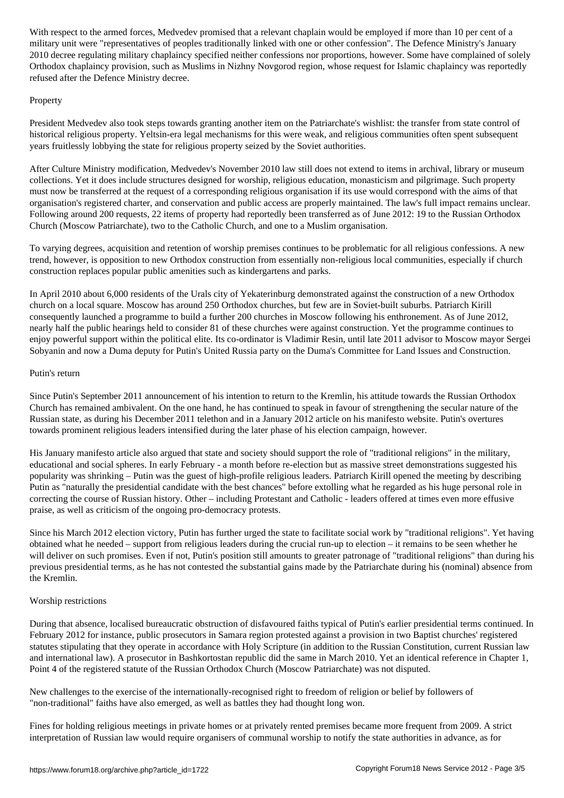military unit were "representatives of peoples traditionally linked with one or other confession". The Defence Ministry's January 2010 decree regulating military chaplaincy specified neither confessions nor proportions, however. Some have complained of solely Orthodox chaplaincy provision, such as Muslims in Nizhny Novgorod region, whose request for Islamic chaplaincy was reportedly refused after the Defence Ministry decree.

## **Property**

President Medvedev also took steps towards granting another item on the Patriarchate's wishlist: the transfer from state control of historical religious property. Yeltsin-era legal mechanisms for this were weak, and religious communities often spent subsequent years fruitlessly lobbying the state for religious property seized by the Soviet authorities.

After Culture Ministry modification, Medvedev's November 2010 law still does not extend to items in archival, library or museum collections. Yet it does include structures designed for worship, religious education, monasticism and pilgrimage. Such property must now be transferred at the request of a corresponding religious organisation if its use would correspond with the aims of that organisation's registered charter, and conservation and public access are properly maintained. The law's full impact remains unclear. Following around 200 requests, 22 items of property had reportedly been transferred as of June 2012: 19 to the Russian Orthodox Church (Moscow Patriarchate), two to the Catholic Church, and one to a Muslim organisation.

To varying degrees, acquisition and retention of worship premises continues to be problematic for all religious confessions. A new trend, however, is opposition to new Orthodox construction from essentially non-religious local communities, especially if church construction replaces popular public amenities such as kindergartens and parks.

In April 2010 about 6,000 residents of the Urals city of Yekaterinburg demonstrated against the construction of a new Orthodox church on a local square. Moscow has around 250 Orthodox churches, but few are in Soviet-built suburbs. Patriarch Kirill consequently launched a programme to build a further 200 churches in Moscow following his enthronement. As of June 2012, nearly half the public hearings held to consider 81 of these churches were against construction. Yet the programme continues to enjoy powerful support within the political elite. Its co-ordinator is Vladimir Resin, until late 2011 advisor to Moscow mayor Sergei Sobyanin and now a Duma deputy for Putin's United Russia party on the Duma's Committee for Land Issues and Construction.

# Putin's return

Since Putin's September 2011 announcement of his intention to return to the Kremlin, his attitude towards the Russian Orthodox Church has remained ambivalent. On the one hand, he has continued to speak in favour of strengthening the secular nature of the Russian state, as during his December 2011 telethon and in a January 2012 article on his manifesto website. Putin's overtures towards prominent religious leaders intensified during the later phase of his election campaign, however.

His January manifesto article also argued that state and society should support the role of "traditional religions" in the military, educational and social spheres. In early February - a month before re-election but as massive street demonstrations suggested his popularity was shrinking – Putin was the guest of high-profile religious leaders. Patriarch Kirill opened the meeting by describing Putin as "naturally the presidential candidate with the best chances" before extolling what he regarded as his huge personal role in correcting the course of Russian history. Other – including Protestant and Catholic - leaders offered at times even more effusive praise, as well as criticism of the ongoing pro-democracy protests.

Since his March 2012 election victory, Putin has further urged the state to facilitate social work by "traditional religions". Yet having obtained what he needed – support from religious leaders during the crucial run-up to election – it remains to be seen whether he will deliver on such promises. Even if not, Putin's position still amounts to greater patronage of "traditional religions" than during his previous presidential terms, as he has not contested the substantial gains made by the Patriarchate during his (nominal) absence from the Kremlin.

# Worship restrictions

During that absence, localised bureaucratic obstruction of disfavoured faiths typical of Putin's earlier presidential terms continued. In February 2012 for instance, public prosecutors in Samara region protested against a provision in two Baptist churches' registered statutes stipulating that they operate in accordance with Holy Scripture (in addition to the Russian Constitution, current Russian law and international law). A prosecutor in Bashkortostan republic did the same in March 2010. Yet an identical reference in Chapter 1, Point 4 of the registered statute of the Russian Orthodox Church (Moscow Patriarchate) was not disputed.

New challenges to the exercise of the internationally-recognised right to freedom of religion or belief by followers of "non-traditional" faiths have also emerged, as well as battles they had thought long won.

Fines for holding religious meetings in private homes or at privately rented premises became more frequent from 2009. A strict interpretation of Russian law would require organisers of communal worship to notify the state authorities in advance, as for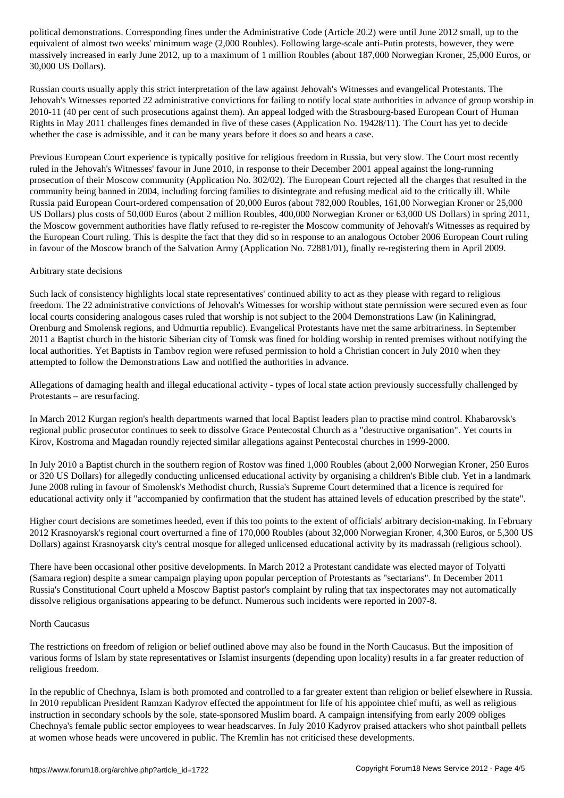equivalent of almost two weeks' minimum wage (2,000 Roubles). Following large-scale anti-Putin protests, however, they were massively increased in early June 2012, up to a maximum of 1 million Roubles (about 187,000 Norwegian Kroner, 25,000 Euros, or 30,000 US Dollars).

Russian courts usually apply this strict interpretation of the law against Jehovah's Witnesses and evangelical Protestants. The Jehovah's Witnesses reported 22 administrative convictions for failing to notify local state authorities in advance of group worship in 2010-11 (40 per cent of such prosecutions against them). An appeal lodged with the Strasbourg-based European Court of Human Rights in May 2011 challenges fines demanded in five of these cases (Application No. 19428/11). The Court has yet to decide whether the case is admissible, and it can be many years before it does so and hears a case.

Previous European Court experience is typically positive for religious freedom in Russia, but very slow. The Court most recently ruled in the Jehovah's Witnesses' favour in June 2010, in response to their December 2001 appeal against the long-running prosecution of their Moscow community (Application No. 302/02). The European Court rejected all the charges that resulted in the community being banned in 2004, including forcing families to disintegrate and refusing medical aid to the critically ill. While Russia paid European Court-ordered compensation of 20,000 Euros (about 782,000 Roubles, 161,00 Norwegian Kroner or 25,000 US Dollars) plus costs of 50,000 Euros (about 2 million Roubles, 400,000 Norwegian Kroner or 63,000 US Dollars) in spring 2011, the Moscow government authorities have flatly refused to re-register the Moscow community of Jehovah's Witnesses as required by the European Court ruling. This is despite the fact that they did so in response to an analogous October 2006 European Court ruling in favour of the Moscow branch of the Salvation Army (Application No. 72881/01), finally re-registering them in April 2009.

#### Arbitrary state decisions

Such lack of consistency highlights local state representatives' continued ability to act as they please with regard to religious freedom. The 22 administrative convictions of Jehovah's Witnesses for worship without state permission were secured even as four local courts considering analogous cases ruled that worship is not subject to the 2004 Demonstrations Law (in Kaliningrad, Orenburg and Smolensk regions, and Udmurtia republic). Evangelical Protestants have met the same arbitrariness. In September 2011 a Baptist church in the historic Siberian city of Tomsk was fined for holding worship in rented premises without notifying the local authorities. Yet Baptists in Tambov region were refused permission to hold a Christian concert in July 2010 when they attempted to follow the Demonstrations Law and notified the authorities in advance.

Allegations of damaging health and illegal educational activity - types of local state action previously successfully challenged by Protestants – are resurfacing.

In March 2012 Kurgan region's health departments warned that local Baptist leaders plan to practise mind control. Khabarovsk's regional public prosecutor continues to seek to dissolve Grace Pentecostal Church as a "destructive organisation". Yet courts in Kirov, Kostroma and Magadan roundly rejected similar allegations against Pentecostal churches in 1999-2000.

In July 2010 a Baptist church in the southern region of Rostov was fined 1,000 Roubles (about 2,000 Norwegian Kroner, 250 Euros or 320 US Dollars) for allegedly conducting unlicensed educational activity by organising a children's Bible club. Yet in a landmark June 2008 ruling in favour of Smolensk's Methodist church, Russia's Supreme Court determined that a licence is required for educational activity only if "accompanied by confirmation that the student has attained levels of education prescribed by the state".

Higher court decisions are sometimes heeded, even if this too points to the extent of officials' arbitrary decision-making. In February 2012 Krasnoyarsk's regional court overturned a fine of 170,000 Roubles (about 32,000 Norwegian Kroner, 4,300 Euros, or 5,300 US Dollars) against Krasnoyarsk city's central mosque for alleged unlicensed educational activity by its madrassah (religious school).

There have been occasional other positive developments. In March 2012 a Protestant candidate was elected mayor of Tolyatti (Samara region) despite a smear campaign playing upon popular perception of Protestants as "sectarians". In December 2011 Russia's Constitutional Court upheld a Moscow Baptist pastor's complaint by ruling that tax inspectorates may not automatically dissolve religious organisations appearing to be defunct. Numerous such incidents were reported in 2007-8.

## North Caucasus

The restrictions on freedom of religion or belief outlined above may also be found in the North Caucasus. But the imposition of various forms of Islam by state representatives or Islamist insurgents (depending upon locality) results in a far greater reduction of religious freedom.

In the republic of Chechnya, Islam is both promoted and controlled to a far greater extent than religion or belief elsewhere in Russia. In 2010 republican President Ramzan Kadyrov effected the appointment for life of his appointee chief mufti, as well as religious instruction in secondary schools by the sole, state-sponsored Muslim board. A campaign intensifying from early 2009 obliges Chechnya's female public sector employees to wear headscarves. In July 2010 Kadyrov praised attackers who shot paintball pellets at women whose heads were uncovered in public. The Kremlin has not criticised these developments.